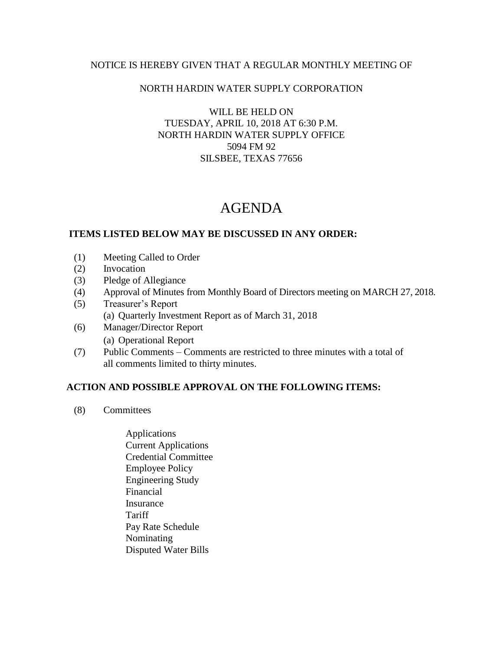### NOTICE IS HEREBY GIVEN THAT A REGULAR MONTHLY MEETING OF

## NORTH HARDIN WATER SUPPLY CORPORATION

WILL BE HELD ON TUESDAY, APRIL 10, 2018 AT 6:30 P.M. NORTH HARDIN WATER SUPPLY OFFICE 5094 FM 92 SILSBEE, TEXAS 77656

# AGENDA

### **ITEMS LISTED BELOW MAY BE DISCUSSED IN ANY ORDER:**

- (1) Meeting Called to Order
- (2) Invocation
- (3) Pledge of Allegiance
- (4) Approval of Minutes from Monthly Board of Directors meeting on MARCH 27, 2018.
- (5) Treasurer's Report (a) Quarterly Investment Report as of March 31, 2018
- (6) Manager/Director Report (a) Operational Report
- (7) Public Comments Comments are restricted to three minutes with a total of all comments limited to thirty minutes.

### **ACTION AND POSSIBLE APPROVAL ON THE FOLLOWING ITEMS:**

- (8) Committees
	- Applications Current Applications Credential Committee Employee Policy Engineering Study Financial Insurance **Tariff**  Pay Rate Schedule Nominating Disputed Water Bills